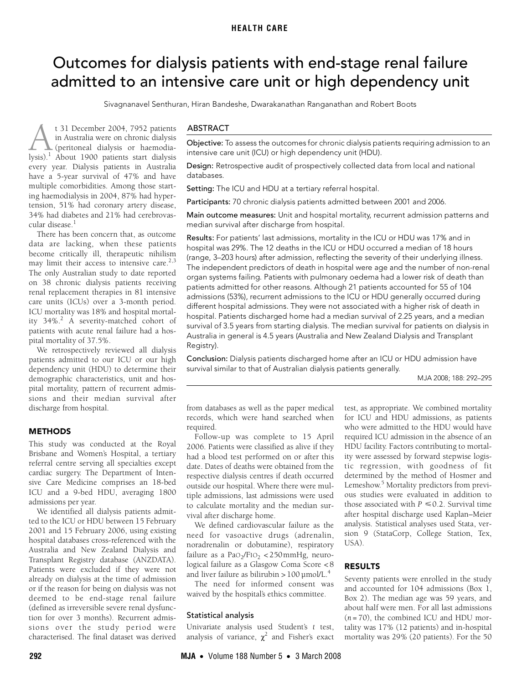# <span id="page-0-0"></span>Outcomes for dialysis patients with end-stage renal failure admitted to an intensive care unit or high dependency unit

Sivagnanavel Senthuran, Hiran Bandeshe, Dwarakanathan Ranganathan and Robert Boots

ing haemodialysis in 2004, 87% had hypertension, 51% had coronary artery [dise](#page-0-0)[ase,](#page-3-5) 34% had diabetes and 21% had cerebrovas-cular disease.<sup>[1](#page-3-6)</sup> t 31 December 2004, 7952 patients in Australia were on chronic dialysis (peritoneal dialysis or haemodia-t 31 December 2004, 7952 patients<br>in [A](#page-3-6)ustralia were on chronic dialysis<br>lysis).<sup>1</sup> About 1900 patients start dialysis every year. Dialysis patients in Australia have a 5-year survival of 47% and have multiple comorbidities. Among those start-

There has been concern that, as outcome data are lacking, when these patients become critically ill, therapeutic nihilism may limit their access to intensive care. $2,3$  $2,3$ The only Australian study to date reported on 38 chronic dialysis patients receiving renal replacement therapies in 81 intensive care units (ICUs) over a 3-month period. ICU mortality was 18% and hospital mortality 34%.[2](#page-3-1) A severity-matched cohort of patients with acute renal failure had a hospital mortality of 37.5%.

We retrospectively reviewed all dialysis patients admitted to our ICU or our high dependency unit (HDU) to determine their demographic characteristics, unit and hospital mortality, pattern of recurrent admissions and their median survival after discharge from hospital.

# **METHODS**

This study was conducted at the Royal Brisbane and Women's Hospital, a tertiary referral centre serving all specialties except cardiac surgery. The Department of Intensive Care Medicine comprises an 18-bed ICU and a 9-bed HDU, averaging 1800 admissions per year.

We identified all dialysis patients admitted to the ICU or HDU between 15 February 2001 and 15 February 2006, using existing hospital databases cross-referenced with the Australia and New Zealand Dialysis and Transplant Registry database (ANZDATA). Patients were excluded if they were not already on dialysis at the time of admission or if the reason for being on dialysis was not deemed to be end-stage renal failure (defined as irreversible severe renal dysfunction for over 3 months). Recurrent admissions over the study period were characterised. The final dataset was derived

# ABSTRACT

Objective: To assess the outcomes for chronic dialysis patients requiring admission to an intensive care unit (ICU) or high dependency unit (HDU).

Design: Retrospective audit of prospectively collected data from local and national databases.

Setting: The ICU and HDU at a tertiary referral hospital.

Participants: 70 chronic dialysis patients admitted between 2001 and 2006.

Main outcome measures: Unit and hospital mortality, recurrent admission patterns and median survival after discharge from hospital.

Results: For patients' last admissions, mortality in the ICU or HDU was 17% and in hospital was 29%. The 12 deaths in the ICU or HDU occurred a median of 18 hours (range, 3–203 hours) after admission, reflecting the severity of their underlying illness. The independent predictors of death in hospital were age and the number of non-renal organ systems failing. Patients with pulmonary oedema had a lower risk of death than patients admitted for other reasons. Although 21 patients accounted for 55 of 104 admissions (53%), recurrent admissions to the ICU or HDU generally occurred during different hospital admissions. They were not associated with a higher risk of death in hospital. Patients discharged home had a median survival of 2.25 years, and a median survival of 3.5 years from starting dialysis. The median survival for patients on dialysis in Australia in general is 4.5 years (Australia and New Zealand Dialysis and Transplant Registry).

Conclusion: Dialysis patients discharged home after an ICU or HDU admission have survival similar to that of Australian dialysis patients generally.

MJA 2008; 188: 292–295

from databases as well as the paper medical records, which were hand searched when required.

Follow-up was complete to 15 April 2006. Patients were classified as alive if they had a blood test performed on or after this date. Dates of deaths were obtained from the respective dialysis centres if death occurred outside our hospital. Where there were multiple admissions, last admissions were used to calculate mortality and the median survival after discharge home.

We defined cardiovascular failure as the need for vasoactive drugs (adrenalin, noradrenalin or dobutamine), respiratory failure as a PaO<sub>2</sub>/F<sub>IO2</sub> < 250mmHg, neurological failure as a Glasgow Coma Score < 8 and liver failure as bilirubin  $> 100$  µmol/L.<sup>[4](#page-3-3)</sup>

The need for informed consent was waived by the hospital's ethics committee.

#### Statistical analysis

Univariate analysis used Student's *t* test, analysis of variance,  $\chi^2$  and Fisher's exact test, as appropriate. We combined mortality for ICU and HDU admissions, as patients who were admitted to the HDU would have required ICU admission in the absence of an HDU facility. Factors contributing to mortality were assessed by forward stepwise logistic regression, with goodness of fit determined by the method of Hosmer and Lemeshow.<sup>[5](#page-3-4)</sup> Mortality predictors from previous studies were evaluated in addition to those associated with  $P \leq 0.2$ . Survival time after hospital discharge used Kaplan–Meier analysis. Statistical analyses used Stata, version 9 (StataCorp, College Station, Tex, USA).

# RESULTS

Seventy patients were enrolled in the study and accounted for 104 admissions (Box 1, Box 2). The median age was 59 years, and about half were men. For all last admissions (*n* = 70), the combined ICU and HDU mortality was 17% (12 patients) and in-hospital mortality was 29% (20 patients). For the 50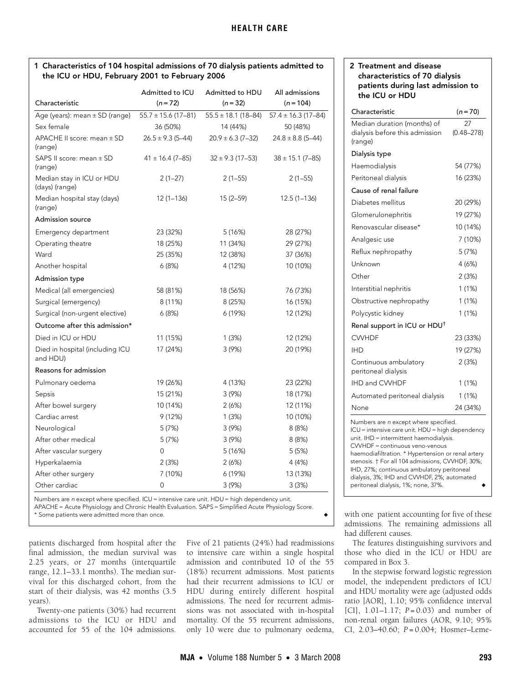# 1 Characteristics of 104 hospital admissions of 70 dialysis patients admitted to the ICU or HDU, February 2001 to February 2006

|                                             | Admitted to ICU         | Admitted to HDU         | All admissions          |  |
|---------------------------------------------|-------------------------|-------------------------|-------------------------|--|
| Characteristic                              | $(n=72)$                | $(n = 32)$              | $(n = 104)$             |  |
| Age (years): mean $\pm$ SD (range)          | $55.7 \pm 15.6$ (17-81) | $55.5 \pm 18.1$ (18-84) | $57.4 \pm 16.3$ (17-84) |  |
| Sex female                                  | 36 (50%)                | 14 (44%)                | 50 (48%)                |  |
| APACHE II score: mean ± SD<br>(range)       | $26.5 \pm 9.3$ (5-44)   | $20.9 \pm 6.3 (7 - 32)$ | $24.8 \pm 8.8$ (5-44)   |  |
| SAPS II score: mean ± SD<br>(range)         | $41 \pm 16.4$ (7-85)    | $32 \pm 9.3$ (17-53)    | $38 \pm 15.1$ (7–85)    |  |
| Median stay in ICU or HDU<br>(days) (range) | $2(1-27)$               | $2(1-55)$               | $2(1-55)$               |  |
| Median hospital stay (days)<br>(range)      | $12(1 - 136)$           | $15(2 - 59)$            | $12.5(1 - 136)$         |  |
| <b>Admission source</b>                     |                         |                         |                         |  |
| Emergency department                        | 23 (32%)                | 5 (16%)                 | 28 (27%)                |  |
| Operating theatre                           | 18 (25%)                | 11 (34%)                | 29 (27%)                |  |
| Ward                                        | 25 (35%)                | 12 (38%)                | 37 (36%)                |  |
| Another hospital                            | 6(8%)                   | 4 (12%)                 | 10 (10%)                |  |
| <b>Admission type</b>                       |                         |                         |                         |  |
| Medical (all emergencies)                   | 58 (81%)                | 18 (56%)                | 76 (73%)                |  |
| Surgical (emergency)                        | 8 (11%)                 | 8 (25%)                 | 16 (15%)                |  |
| Surgical (non-urgent elective)              | 6(8%)                   | 6 (19%)                 | 12 (12%)                |  |
| Outcome after this admission*               |                         |                         |                         |  |
| Died in ICU or HDU                          | 11 (15%)                | 1 (3%)                  | 12 (12%)                |  |
| Died in hospital (including ICU<br>and HDU) | 17 (24%)                | 3(9%)                   | 20 (19%)                |  |
| Reasons for admission                       |                         |                         |                         |  |
| Pulmonary oedema                            | 19 (26%)                | 4 (13%)                 | 23 (22%)                |  |
| Sepsis                                      | 15 (21%)                | 3 (9%)                  | 18 (17%)                |  |
| After bowel surgery                         | 10 (14%)                | 2(6%)                   | 12 (11%)                |  |
| Cardiac arrest                              | 9(12%)                  | 1(3%)                   | 10 (10%)                |  |
| Neurological                                | 5(7%)                   | 3(9%)                   | 8(8%)                   |  |
| After other medical                         | 5(7%)                   | 3(9%)                   | 8(8%)                   |  |
| After vascular surgery                      | 0                       | 5(16%)                  | 5(5%)                   |  |
| Hyperkalaemia                               | 2(3%)                   | 2(6%)                   | 4 (4%)                  |  |
| After other surgery                         | 7 (10%)                 | 6 (19%)                 | 13 (13%)                |  |
| Other cardiac                               | 0                       | 3(9%)                   | 3(3%)                   |  |

Numbers are n except where specified. ICU = intensive care unit. HDU = high dependency unit.

APACHE = Acute Physiology and Chronic Health Evaluation. SAPS = Simplified Acute Physiology Score. \* Some patients were admitted more than once. ◆

patients discharged from hospital after the final admission, the median survival was 2.25 years, or 27 months (interquartile range, 12.1–33.1 months). The median survival for this discharged cohort, from the start of their dialysis, was 42 months (3.5 years).

Twenty-one patients (30%) had recurrent admissions to the ICU or HDU and accounted for 55 of the 104 admissions. Five of 21 patients (24%) had readmissions to intensive care within a single hospital admission and contributed 10 of the 55 (18%) recurrent admissions. Most patients had their recurrent admissions to ICU or HDU during entirely different hospital admissions. The need for recurrent admissions was not associated with in-hospital mortality. Of the 55 recurrent admissions, only 10 were due to pulmonary oedema,

# 2 Treatment and disease characteristics of 70 dialysis patients during last admission to the ICU or HDU

| Characteristic                                                                                                                                                                                                                                                                                                                                                                                                        | $(n=70)$             |  |  |  |
|-----------------------------------------------------------------------------------------------------------------------------------------------------------------------------------------------------------------------------------------------------------------------------------------------------------------------------------------------------------------------------------------------------------------------|----------------------|--|--|--|
| Median duration (months) of<br>dialysis before this admission<br>(range)                                                                                                                                                                                                                                                                                                                                              | 27<br>$(0.48 - 278)$ |  |  |  |
| Dialysis type                                                                                                                                                                                                                                                                                                                                                                                                         |                      |  |  |  |
| Haemodialysis                                                                                                                                                                                                                                                                                                                                                                                                         | 54 (77%)             |  |  |  |
| Peritoneal dialysis                                                                                                                                                                                                                                                                                                                                                                                                   | 16 (23%)             |  |  |  |
| Cause of renal failure                                                                                                                                                                                                                                                                                                                                                                                                |                      |  |  |  |
| Diabetes mellitus                                                                                                                                                                                                                                                                                                                                                                                                     | 20 (29%)             |  |  |  |
| Glomerulonephritis                                                                                                                                                                                                                                                                                                                                                                                                    | 19 (27%)             |  |  |  |
| Renovascular disease*                                                                                                                                                                                                                                                                                                                                                                                                 | 10 (14%)             |  |  |  |
| Analgesic use                                                                                                                                                                                                                                                                                                                                                                                                         | 7 (10%)              |  |  |  |
| Reflux nephropathy                                                                                                                                                                                                                                                                                                                                                                                                    | 5(7%)                |  |  |  |
| Unknown                                                                                                                                                                                                                                                                                                                                                                                                               | 4 (6%)               |  |  |  |
| ∩ther                                                                                                                                                                                                                                                                                                                                                                                                                 | 2(3%)                |  |  |  |
| Interstitial nephritis                                                                                                                                                                                                                                                                                                                                                                                                | 1(1%)                |  |  |  |
| Obstructive nephropathy                                                                                                                                                                                                                                                                                                                                                                                               | 1(1%)                |  |  |  |
| Polycystic kidney                                                                                                                                                                                                                                                                                                                                                                                                     | 1(1%)                |  |  |  |
| Renal support in ICU or HDU <sup>†</sup>                                                                                                                                                                                                                                                                                                                                                                              |                      |  |  |  |
| <b>CWHDF</b>                                                                                                                                                                                                                                                                                                                                                                                                          | 23 (33%)             |  |  |  |
| IHD                                                                                                                                                                                                                                                                                                                                                                                                                   | 19 (27%)             |  |  |  |
| Continuous ambulatory<br>peritoneal dialysis                                                                                                                                                                                                                                                                                                                                                                          | 2(3%)                |  |  |  |
| <b>IHD and CVVHDF</b>                                                                                                                                                                                                                                                                                                                                                                                                 | 1 (1%)               |  |  |  |
| Automated peritoneal dialysis                                                                                                                                                                                                                                                                                                                                                                                         | 1 (1%)               |  |  |  |
| None                                                                                                                                                                                                                                                                                                                                                                                                                  | 24 (34%)             |  |  |  |
| Numbers are n except where specified.<br>ICU = intensive care unit. HDU = high dependency<br>unit. IHD = intermittent haemodialysis.<br>CVVHDF = continuous veno-venous<br>haemodiafiltration. * Hypertension or renal artery<br>stenosis. † For all 104 admissions, CVVHDF, 30%;<br>IHD, 27%; continuous ambulatory peritoneal<br>dialysis, 3%; IHD and CVVHDF, 2%; automated<br>peritoneal dialysis, 1%; none, 37%. |                      |  |  |  |

with one patient accounting for five of these admissions. The remaining admissions all had different causes.

The features distinguishing survivors and those who died in the ICU or HDU are compared in Box 3.

In the stepwise forward logistic regression model, the independent predictors of ICU and HDU mortality were age (adjusted odds ratio [AOR], 1.10; 95% confidence interval [CI], 1.01–1.17; *P =* 0.03) and number of non-renal organ failures (AOR, 9.10; 95% CI, 2.03–40.60; *P* = 0.004; Hosmer–Leme-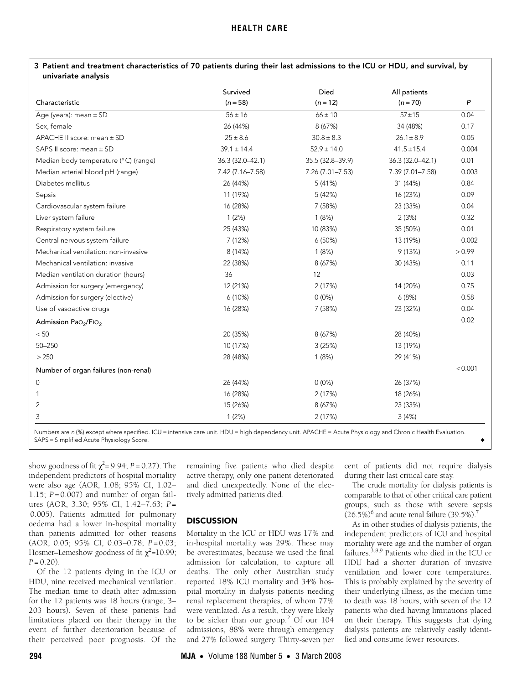| 3 Patient and treatment characteristics of 70 patients during their last admissions to the ICU or HDU, and survival, by |  |  |
|-------------------------------------------------------------------------------------------------------------------------|--|--|
| univariate analysis                                                                                                     |  |  |

| Characteristic                               | Survived<br>$(n = 58)$ | Died<br>$(n = 12)$  | All patients<br>$(n = 70)$ | P       |
|----------------------------------------------|------------------------|---------------------|----------------------------|---------|
|                                              |                        |                     |                            |         |
| Sex, female                                  | 26 (44%)               | 8 (67%)             | 34 (48%)                   | 0.17    |
| APACHE II score: mean ± SD                   | $25 \pm 8.6$           | $30.8 \pm 8.3$      | $26.1 \pm 8.9$             | 0.05    |
| SAPS II score: mean ± SD                     | $39.1 \pm 14.4$        | $52.9 \pm 14.0$     | $41.5 \pm 15.4$            | 0.004   |
| Median body temperature (°C) (range)         | 36.3 (32.0-42.1)       | 35.5 (32.8-39.9)    | 36.3 (32.0-42.1)           | 0.01    |
| Median arterial blood pH (range)             | 7.42 (7.16-7.58)       | $7.26(7.01 - 7.53)$ | 7.39 (7.01-7.58)           | 0.003   |
| Diabetes mellitus                            | 26 (44%)               | 5 (41%)             | 31 (44%)                   | 0.84    |
| Sepsis                                       | 11 (19%)               | 5 (42%)             | 16 (23%)                   | 0.09    |
| Cardiovascular system failure                | 16 (28%)               | 7 (58%)             | 23 (33%)                   | 0.04    |
| Liver system failure                         | 1(2%)                  | 1(8%)               | 2(3%)                      | 0.32    |
| Respiratory system failure                   | 25 (43%)               | 10 (83%)            | 35 (50%)                   | 0.01    |
| Central nervous system failure               | 7 (12%)                | 6(50%)              | 13 (19%)                   | 0.002   |
| Mechanical ventilation: non-invasive         | 8 (14%)                | 1(8%)               | 9(13%)                     | > 0.99  |
| Mechanical ventilation: invasive             | 22 (38%)               | 8 (67%)             | 30 (43%)                   | 0.11    |
| Median ventilation duration (hours)          | 36                     | 12                  |                            | 0.03    |
| Admission for surgery (emergency)            | 12 (21%)               | 2(17%)              | 14 (20%)                   | 0.75    |
| Admission for surgery (elective)             | 6(10%)                 | $0(0\%)$            | 6(8%)                      | 0.58    |
| Use of vasoactive drugs                      | 16 (28%)               | 7 (58%)             | 23 (32%)                   | 0.04    |
| Admission PaO <sub>2</sub> /FIO <sub>2</sub> |                        |                     |                            | 0.02    |
| < 50                                         | 20 (35%)               | 8 (67%)             | 28 (40%)                   |         |
| $50 - 250$                                   | 10 (17%)               | 3(25%)              | 13 (19%)                   |         |
| > 250                                        | 28 (48%)               | 1(8%)               | 29 (41%)                   |         |
| Number of organ failures (non-renal)         |                        |                     |                            | < 0.001 |
| 0                                            | 26 (44%)               | $0(0\%)$            | 26 (37%)                   |         |
|                                              | 16 (28%)               | 2(17%)              | 18 (26%)                   |         |
| 2                                            | 15 (26%)               | 8 (67%)             | 23 (33%)                   |         |
| 3                                            | 1(2%)                  | 2 (17%)             | 3(4%)                      |         |

dependency unit. APACHE = Acute Physiology SAPS = Simplified Acute Physiology Score.

show goodness of fit  $\chi^2$ = 9.94; *P* = 0.27). The independent predictors of hospital mortality were also age (AOR, 1.08; 95% CI, 1.02– 1.15; *P =* 0.007) and number of organ failures (AOR, 3.30; 95% CI, 1.42–7.63; *P =* 0.005). Patients admitted for pulmonary oedema had a lower in-hospital mortality than patients admitted for other reasons (AOR, 0.05; 95% CI, 0.03–0.78; *P =* 0.03; Hosmer–Lemeshow goodness of fit  $\chi^2$ =10.99; *P =* 0.20).

Of the 12 patients dying in the ICU or HDU, nine received mechanical ventilation. The median time to death after admission for the 12 patients was 18 hours (range, 3– 203 hours). Seven of these patients had limitations placed on their therapy in the event of further deterioration because of their perceived poor prognosis. Of the

remaining five patients who died despite active therapy, only one patient deteriorated and died unexpectedly. None of the electively admitted patients died.

#### **DISCUSSION**

Mortality in the ICU or HDU was 17% and in-hospital mortality was 29%. These may be overestimates, because we used the final admission for calculation, to capture all deaths. The only other Australian study reported 18% ICU mortality and 34% hospital mortality in dialysis patients needing renal replacement therapies, of whom 77% were ventilated. As a result, they were likely to be sicker than our group.<sup>[2](#page-3-1)</sup> Of our 104 admissions, 88% were through emergency and 27% followed surgery. Thirty-seven per

cent of patients did not require dialysis during their last critical care stay.

The crude mortality for dialysis patients is comparable to that of other critical care patient groups, such as those with severe sepsis  $(26.5\%)^6$  $(26.5\%)^6$  $(26.5\%)^6$  and acute renal failure  $(39.5\%)^7$ 

As in other studies of dialysis patients, the independent predictors of ICU and hospital mortality were age and the number of organ failures.[3](#page-3-2)[,8,](#page-3-9)[9](#page-3-10) Patients who died in the ICU or HDU had a shorter duration of invasive ventilation and lower core temperatures. This is probably explained by the severity of their underlying illness, as the median time to death was 18 hours, with seven of the 12 patients who died having limitations placed on their therapy. This suggests that dying dialysis patients are relatively easily identified and consume fewer resources.